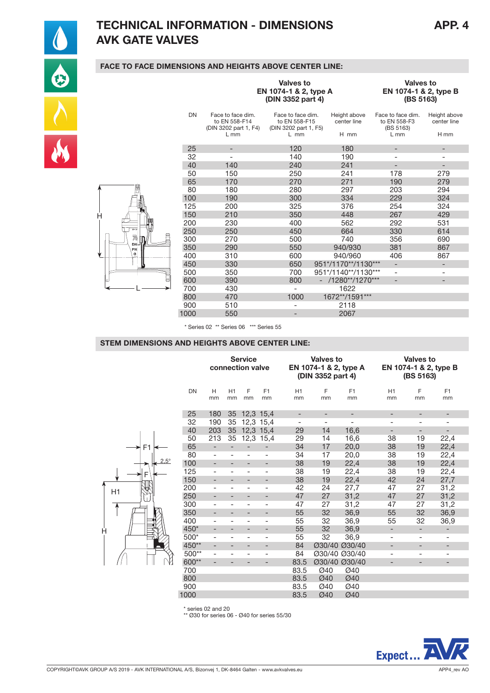

H

# TECHNICAL INFORMATION - DIMENSIONS APP. 4 AVK GATE VALVES

## FACE TO FACE DIMENSIONS AND HEIGHTS ABOVE CENTER LINE:

|           |      |                                                                       | <b>Valves to</b><br>EN 1074-1 & 2, type A<br>(DIN 3352 part 4)        |                                     | <b>Valves to</b><br>EN 1074-1 & 2, type B<br>(BS 5163)   |                                     |  |  |
|-----------|------|-----------------------------------------------------------------------|-----------------------------------------------------------------------|-------------------------------------|----------------------------------------------------------|-------------------------------------|--|--|
|           | DN   | Face to face dim.<br>to EN 558-F14<br>(DIN 3202 part 1, F4)<br>$L$ mm | Face to face dim.<br>to EN 558-F15<br>(DIN 3202 part 1, F5)<br>$L$ mm | Height above<br>center line<br>H mm | Face to face dim.<br>to EN 558-F3<br>(BS 5163)<br>$L$ mm | Height above<br>center line<br>H mm |  |  |
|           | 25   | -                                                                     | 120                                                                   | 180                                 | -                                                        | -                                   |  |  |
|           | 32   | -                                                                     | 140                                                                   | 190                                 | $\overline{\phantom{0}}$                                 | $\overline{\phantom{0}}$            |  |  |
|           | 40   | 140                                                                   | 240                                                                   | 241                                 | $\overline{\phantom{0}}$                                 | -                                   |  |  |
|           | 50   | 150                                                                   | 250                                                                   | 241                                 | 178                                                      | 279                                 |  |  |
|           | 65   | 170                                                                   | 270                                                                   | 271                                 | 190                                                      | 279                                 |  |  |
|           | 80   | 180                                                                   | 280                                                                   | 297                                 | 203                                                      | 294                                 |  |  |
|           | 100  | 190                                                                   | 300                                                                   | 334                                 | 229                                                      | 324                                 |  |  |
|           | 125  | 200                                                                   | 325                                                                   | 376                                 | 254                                                      | 324                                 |  |  |
| Н         | 150  | 210                                                                   | 350                                                                   | 448                                 | 267                                                      | 429                                 |  |  |
|           | 200  | 230                                                                   | 400                                                                   | 562                                 | 292                                                      | 531                                 |  |  |
| $20 - 10$ | 250  | 250                                                                   | 450                                                                   | 664                                 | 330                                                      | 614                                 |  |  |
| Ā<br>DN   | 300  | 270                                                                   | 500                                                                   | 740                                 | 356                                                      | 690                                 |  |  |
| PN.       | 350  | 290                                                                   | 550                                                                   | 940/930                             | 381                                                      | 867                                 |  |  |
| a<br>v    | 400  | 310                                                                   | 600                                                                   | 940/960                             | 406                                                      | 867                                 |  |  |
|           | 450  | 330                                                                   | 650                                                                   | 951*/1170**/1130***                 | $\overline{\phantom{0}}$                                 | -                                   |  |  |
|           | 500  | 350                                                                   | 700                                                                   | 951*/1140**/1130***                 | $\overline{\phantom{0}}$                                 | $\overline{\phantom{0}}$            |  |  |
|           | 600  | 390                                                                   | 800                                                                   | /1280**/1270***                     | $\overline{\phantom{0}}$                                 | -                                   |  |  |
|           | 700  | 430                                                                   | -                                                                     | 1622                                |                                                          |                                     |  |  |
|           | 800  | 470                                                                   | 1000                                                                  | 1672**/1591***                      |                                                          |                                     |  |  |
|           | 900  | 510                                                                   |                                                                       | 2118                                |                                                          |                                     |  |  |
|           | 1000 | 550                                                                   |                                                                       | 2067                                |                                                          |                                     |  |  |

\* Series 02 \*\* Series 06 \*\*\* Series 55

#### STEM DIMENSIONS AND HEIGHTS ABOVE CENTER LINE:

|                     |           | <b>Service</b><br>connection valve |                              |                              |                          |                          | <b>Valves to</b><br>EN 1074-1 & 2, type A<br>(DIN 3352 part 4) |                | <b>Valves to</b><br>EN 1074-1 & 2, type B<br>(BS 5163) |                          |                          |  |
|---------------------|-----------|------------------------------------|------------------------------|------------------------------|--------------------------|--------------------------|----------------------------------------------------------------|----------------|--------------------------------------------------------|--------------------------|--------------------------|--|
|                     | <b>DN</b> | H                                  | H1                           | F                            | F <sub>1</sub>           | H1                       | F                                                              | F <sub>1</sub> | H1                                                     | F                        | F <sub>1</sub>           |  |
|                     |           | mm                                 | mm                           | mm                           | mm                       | mm                       | mm                                                             | mm             | mm                                                     | mm                       | mm                       |  |
|                     | 25        | 180                                | 35                           |                              | 12,3 15,4                | $\overline{\phantom{a}}$ | -                                                              | -              | $\qquad \qquad -$                                      |                          | -                        |  |
|                     | 32        | 190                                | 35                           |                              | 12,3 15,4                | $\overline{\phantom{a}}$ | $\overline{\phantom{0}}$                                       | $\overline{a}$ | $\overline{\phantom{0}}$                               |                          | $\overline{a}$           |  |
|                     | 40        | 203                                | 35                           |                              | 12,3 15,4                | 29                       | 14                                                             | 16,6           | $\overline{\phantom{a}}$                               | $\overline{\phantom{a}}$ | -                        |  |
|                     | 50        | 213                                | 35                           |                              | 12,3 15,4                | 29                       | 14                                                             | 16,6           | 38                                                     | 19                       | 22,4                     |  |
| F <sub>1</sub><br>➤ | 65        | $\qquad \qquad -$                  |                              |                              |                          | 34                       | 17                                                             | 20,0           | 38                                                     | 19                       | 22,4                     |  |
|                     | 80        | $\overline{\phantom{a}}$           |                              | $\qquad \qquad \blacksquare$ | ٠                        | 34                       | 17                                                             | 20,0           | 38                                                     | 19                       | 22,4                     |  |
| $2.5^\circ$         | 100       |                                    |                              |                              | -                        | 38                       | 19                                                             | 22,4           | 38                                                     | 19                       | 22,4                     |  |
| F                   | 125       | $\overline{\phantom{a}}$           | $\overline{\phantom{0}}$     | $\overline{\phantom{a}}$     | $\overline{\phantom{0}}$ | 38                       | 19                                                             | 22,4           | 38                                                     | 19                       | 22,4                     |  |
|                     | 150       | $\overline{\phantom{a}}$           | -                            | -                            | -                        | 38                       | 19                                                             | 22,4           | 42                                                     | 24                       | 27,7                     |  |
| H1                  | 200       | $\overline{\phantom{a}}$           | $\overline{\phantom{0}}$     | $\overline{\phantom{0}}$     | $\overline{\phantom{0}}$ | 42                       | 24                                                             | 27,7           | 47                                                     | 27                       | 31,2                     |  |
|                     | 250       |                                    |                              | $\overline{\phantom{a}}$     | $\overline{\phantom{m}}$ | 47                       | 27                                                             | 31,2           | 47                                                     | 27                       | 31,2                     |  |
|                     | 300       | $\overline{\phantom{a}}$           | $\qquad \qquad \blacksquare$ | $\overline{\phantom{a}}$     | ٠                        | 47                       | 27                                                             | 31,2           | 47                                                     | 27                       | 31,2                     |  |
|                     | 350       | $\overline{\phantom{a}}$           |                              |                              | ٠                        | 55                       | 32                                                             | 36,9           | 55                                                     | 32                       | 36,9                     |  |
|                     | 400       | $\overline{\phantom{a}}$           | ٠                            | $\overline{\phantom{a}}$     | ۰                        | 55                       | 32                                                             | 36,9           | 55                                                     | 32                       | 36,9                     |  |
| Ĥ                   | 450*      | $\overline{\phantom{a}}$           | -                            | $\overline{\phantom{0}}$     | $\qquad \qquad -$        | 55                       | 32                                                             | 36,9           | $\overline{\phantom{a}}$                               | $\overline{\phantom{a}}$ | -                        |  |
|                     | 500*      |                                    | $\qquad \qquad \blacksquare$ | $\qquad \qquad \blacksquare$ | ٠                        | 55                       | 32                                                             | 36,9           | ÷,                                                     | $\overline{\phantom{0}}$ | $\overline{\phantom{0}}$ |  |
|                     | 450**     |                                    |                              | -                            | -                        | 84                       | Ø30/40 Ø30/40                                                  |                | $\overline{\phantom{a}}$                               | $\overline{\phantom{a}}$ | $\overline{\phantom{0}}$ |  |
|                     | 500**     |                                    |                              | -                            | ٠                        | 84                       | Ø30/40 Ø30/40                                                  |                | $\overline{a}$                                         | $\overline{\phantom{0}}$ | $\overline{\phantom{0}}$ |  |
|                     | 600**     |                                    |                              |                              |                          | 83.5                     | Ø30/40 Ø30/40                                                  |                |                                                        |                          | -                        |  |
|                     | 700       |                                    |                              |                              |                          | 83.5                     | Ø40                                                            | Ø40            |                                                        |                          |                          |  |
|                     | 800       |                                    |                              |                              |                          | 83.5                     | Ø40                                                            | Ø40            |                                                        |                          |                          |  |
|                     | 900       |                                    |                              |                              |                          | 83.5                     | Ø40                                                            | Ø40            |                                                        |                          |                          |  |
|                     | 1000      |                                    |                              |                              |                          | 83.5                     | Ø40                                                            | Ø40            |                                                        |                          |                          |  |
|                     |           |                                    |                              |                              |                          |                          |                                                                |                |                                                        |                          |                          |  |

\* series 02 and 20

\*\* Ø30 for series 06 - Ø40 for series 55/30